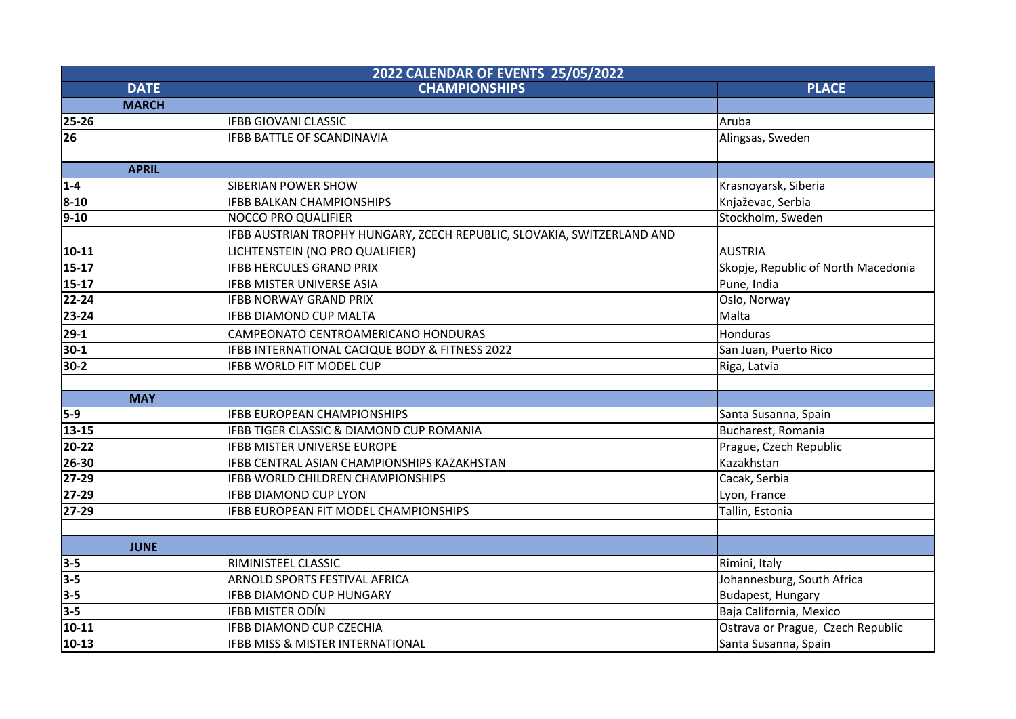| 2022 CALENDAR OF EVENTS 25/05/2022 |                                                                         |                                     |  |  |
|------------------------------------|-------------------------------------------------------------------------|-------------------------------------|--|--|
| <b>DATE</b>                        | <b>CHAMPIONSHIPS</b>                                                    | <b>PLACE</b>                        |  |  |
| <b>MARCH</b>                       |                                                                         |                                     |  |  |
| $25 - 26$                          | <b>IFBB GIOVANI CLASSIC</b>                                             | Aruba                               |  |  |
| 26                                 | <b>IFBB BATTLE OF SCANDINAVIA</b>                                       | Alingsas, Sweden                    |  |  |
|                                    |                                                                         |                                     |  |  |
| <b>APRIL</b>                       |                                                                         |                                     |  |  |
| $1 - 4$                            | <b>SIBERIAN POWER SHOW</b>                                              | Krasnoyarsk, Siberia                |  |  |
| $8 - 10$                           | <b>IFBB BALKAN CHAMPIONSHIPS</b>                                        | Knjaževac, Serbia                   |  |  |
| $ 9-10 $                           | <b>NOCCO PRO QUALIFIER</b>                                              | Stockholm, Sweden                   |  |  |
|                                    | IFBB AUSTRIAN TROPHY HUNGARY, ZCECH REPUBLIC, SLOVAKIA, SWITZERLAND AND |                                     |  |  |
| $ 10-11 $                          | LICHTENSTEIN (NO PRO QUALIFIER)                                         | <b>AUSTRIA</b>                      |  |  |
| $15-17$                            | <b>IFBB HERCULES GRAND PRIX</b>                                         | Skopje, Republic of North Macedonia |  |  |
| $15-17$                            | <b>IFBB MISTER UNIVERSE ASIA</b>                                        | Pune, India                         |  |  |
| 22-24                              | <b>IFBB NORWAY GRAND PRIX</b>                                           | Oslo, Norway                        |  |  |
| 23-24                              | <b>IFBB DIAMOND CUP MALTA</b>                                           | Malta                               |  |  |
| $ 29-1 $                           | CAMPEONATO CENTROAMERICANO HONDURAS                                     | <b>Honduras</b>                     |  |  |
| $30-1$                             | IFBB INTERNATIONAL CACIQUE BODY & FITNESS 2022                          | San Juan, Puerto Rico               |  |  |
| 30-2                               | IFBB WORLD FIT MODEL CUP                                                | Riga, Latvia                        |  |  |
|                                    |                                                                         |                                     |  |  |
| <b>MAY</b>                         |                                                                         |                                     |  |  |
| 5-9                                | <b>IFBB EUROPEAN CHAMPIONSHIPS</b>                                      | Santa Susanna, Spain                |  |  |
| $13 - 15$                          | IFBB TIGER CLASSIC & DIAMOND CUP ROMANIA                                | Bucharest, Romania                  |  |  |
| 20-22                              | <b>IFBB MISTER UNIVERSE EUROPE</b>                                      | Prague, Czech Republic              |  |  |
| 26-30                              | IFBB CENTRAL ASIAN CHAMPIONSHIPS KAZAKHSTAN                             | Kazakhstan                          |  |  |
| $ 27-29 $                          | <b>IFBB WORLD CHILDREN CHAMPIONSHIPS</b>                                | Cacak, Serbia                       |  |  |
| 27-29                              | <b>IFBB DIAMOND CUP LYON</b>                                            | Lyon, France                        |  |  |
| $27-29$                            | IFBB EUROPEAN FIT MODEL CHAMPIONSHIPS                                   | Tallin, Estonia                     |  |  |
|                                    |                                                                         |                                     |  |  |
| <b>JUNE</b>                        |                                                                         |                                     |  |  |
| $3 - 5$                            | RIMINISTEEL CLASSIC                                                     | Rimini, Italy                       |  |  |
| $3-5$                              | ARNOLD SPORTS FESTIVAL AFRICA                                           | Johannesburg, South Africa          |  |  |
| $3-5$                              | <b>IFBB DIAMOND CUP HUNGARY</b>                                         | <b>Budapest, Hungary</b>            |  |  |
| $3 - 5$                            | <b>IFBB MISTER ODÍN</b>                                                 | Baja California, Mexico             |  |  |
| $10 - 11$                          | IFBB DIAMOND CUP CZECHIA                                                | Ostrava or Prague, Czech Republic   |  |  |
| $10-13$                            | IFBB MISS & MISTER INTERNATIONAL                                        | Santa Susanna, Spain                |  |  |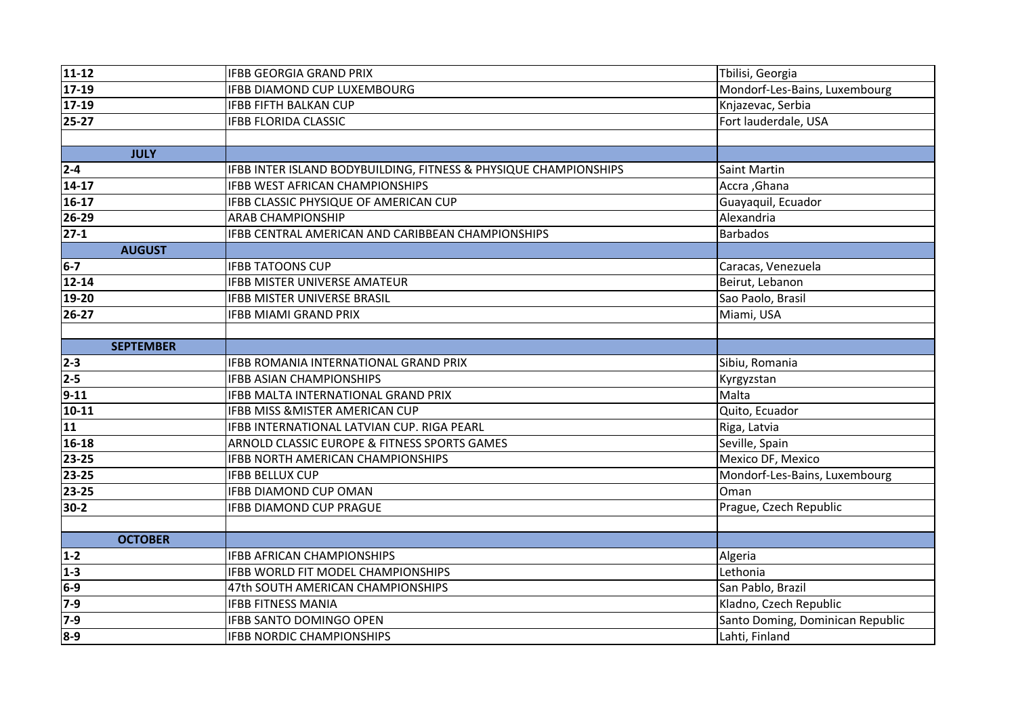| $11 - 12$        | <b>IFBB GEORGIA GRAND PRIX</b>                                   | Tbilisi, Georgia                 |
|------------------|------------------------------------------------------------------|----------------------------------|
| $17-19$          | <b>IFBB DIAMOND CUP LUXEMBOURG</b>                               | Mondorf-Les-Bains, Luxembourg    |
| $17-19$          | <b>IFBB FIFTH BALKAN CUP</b>                                     | Knjazevac, Serbia                |
| $25 - 27$        | <b>IFBB FLORIDA CLASSIC</b>                                      | Fort lauderdale, USA             |
|                  |                                                                  |                                  |
| <b>JULY</b>      |                                                                  |                                  |
| $2 - 4$          | IFBB INTER ISLAND BODYBUILDING, FITNESS & PHYSIQUE CHAMPIONSHIPS | <b>Saint Martin</b>              |
| $14 - 17$        | <b>IFBB WEST AFRICAN CHAMPIONSHIPS</b>                           | Accra, Ghana                     |
| $16-17$          | IFBB CLASSIC PHYSIQUE OF AMERICAN CUP                            | Guayaquil, Ecuador               |
| $26 - 29$        | <b>ARAB CHAMPIONSHIP</b>                                         | Alexandria                       |
| $27-1$           | IFBB CENTRAL AMERICAN AND CARIBBEAN CHAMPIONSHIPS                | <b>Barbados</b>                  |
| <b>AUGUST</b>    |                                                                  |                                  |
| $6-7$            | <b>IFBB TATOONS CUP</b>                                          | Caracas, Venezuela               |
| $12 - 14$        | <b>IFBB MISTER UNIVERSE AMATEUR</b>                              | Beirut, Lebanon                  |
| 19-20            | <b>IFBB MISTER UNIVERSE BRASIL</b>                               | Sao Paolo, Brasil                |
| $26 - 27$        | <b>IFBB MIAMI GRAND PRIX</b>                                     | Miami, USA                       |
|                  |                                                                  |                                  |
| <b>SEPTEMBER</b> |                                                                  |                                  |
| $2 - 3$          | IFBB ROMANIA INTERNATIONAL GRAND PRIX                            | Sibiu, Romania                   |
| $2 - 5$          | <b>IFBB ASIAN CHAMPIONSHIPS</b>                                  | Kyrgyzstan                       |
| $9 - 11$         | <b>IFBB MALTA INTERNATIONAL GRAND PRIX</b>                       | Malta                            |
| $10 - 11$        | <b>IFBB MISS &amp; MISTER AMERICAN CUP</b>                       | Quito, Ecuador                   |
| 11               | IFBB INTERNATIONAL LATVIAN CUP. RIGA PEARL                       | Riga, Latvia                     |
| 16-18            | ARNOLD CLASSIC EUROPE & FITNESS SPORTS GAMES                     | Seville, Spain                   |
| 23-25            | <b>IFBB NORTH AMERICAN CHAMPIONSHIPS</b>                         | Mexico DF, Mexico                |
| 23-25            | <b>IFBB BELLUX CUP</b>                                           | Mondorf-Les-Bains, Luxembourg    |
| 23-25            | <b>IFBB DIAMOND CUP OMAN</b>                                     | Oman                             |
| $30-2$           | <b>IFBB DIAMOND CUP PRAGUE</b>                                   | Prague, Czech Republic           |
|                  |                                                                  |                                  |
| <b>OCTOBER</b>   |                                                                  |                                  |
| $1 - 2$          | <b>IFBB AFRICAN CHAMPIONSHIPS</b>                                | Algeria                          |
| $1 - 3$          | <b>IFBB WORLD FIT MODEL CHAMPIONSHIPS</b>                        | Lethonia                         |
| $6-9$            | 47th SOUTH AMERICAN CHAMPIONSHIPS                                | San Pablo, Brazil                |
| $7-9$            | <b>IFBB FITNESS MANIA</b>                                        | Kladno, Czech Republic           |
| $7-9$            | <b>IFBB SANTO DOMINGO OPEN</b>                                   | Santo Doming, Dominican Republic |
| $8-9$            | <b>IFBB NORDIC CHAMPIONSHIPS</b>                                 | Lahti, Finland                   |